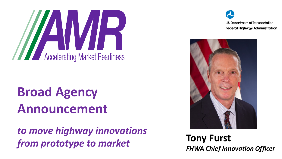# **Solution Second Second Second Second Second Second Second Second Second Second Second Second Second Second Second Second Second Second Second Second Second Second Second Second Second Second Second Second Second Second Se**

### **Broad Agency Announcement**

*to move highway innovations from prototype to market*

U.S. Department of Transportation **Federal Highway Administration** 



**Tony Furst** *FHWA Chief Innovation Officer*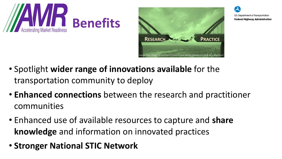



U.S. Department of Transportation **Federal Highway Administration** 

- Spotlight **wider range of innovations available** for the transportation community to deploy
- **Enhanced connections** between the research and practitioner communities
- Enhanced use of available resources to capture and **share knowledge** and information on innovated practices
- **Stronger National STIC Network**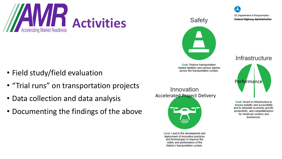

- Field study/field evaluation
- "Trial runs" on transportation projects
- Data collection and data analysis
- Documenting the findings of the above



Goal: Reduce transportationrelated fatalities and serious injuries across the transportation system.



Innovation

Goal: Lead in the development and deployment of innovative practices and technologies to improve the safety and performance of the Nation's transportation system.

Infrastructure



Goal: Invest in infrastructure to ensure mobility and accessibility and to stimulate economic growth, productivity, and competitiveness for American workers and businesses.

U.S. Department of Transportation **Federal Highway Administration**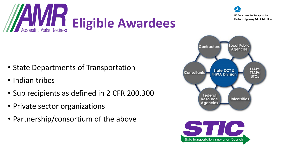

## **Eligible Awardees**



- Indian tribes
- Sub recipients as defined in 2 CFR 200.300
- Private sector organizations
- Partnership/consortium of the above